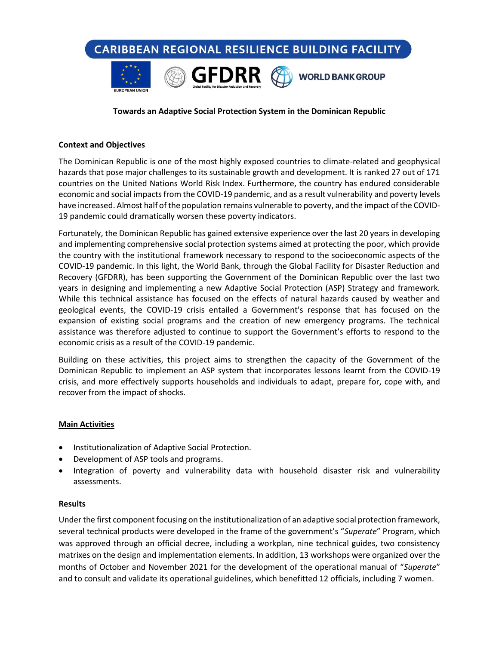**CARIBBEAN REGIONAL RESILIENCE BUILDING FACILITY** 



### **Towards an Adaptive Social Protection System in the Dominican Republic**

#### **Context and Objectives**

The Dominican Republic is one of the most highly exposed countries to climate-related and geophysical hazards that pose major challenges to its sustainable growth and development. It is ranked 27 out of 171 countries on the United Nations World Risk Index. Furthermore, the country has endured considerable economic and social impacts from the COVID-19 pandemic, and as a result vulnerability and poverty levels have increased. Almost half of the population remains vulnerable to poverty, and the impact of the COVID-19 pandemic could dramatically worsen these poverty indicators.

Fortunately, the Dominican Republic has gained extensive experience over the last 20 years in developing and implementing comprehensive social protection systems aimed at protecting the poor, which provide the country with the institutional framework necessary to respond to the socioeconomic aspects of the COVID-19 pandemic. In this light, the World Bank, through the Global Facility for Disaster Reduction and Recovery (GFDRR), has been supporting the Government of the Dominican Republic over the last two years in designing and implementing a new Adaptive Social Protection (ASP) Strategy and framework. While this technical assistance has focused on the effects of natural hazards caused by weather and geological events, the COVID-19 crisis entailed a Government's response that has focused on the expansion of existing social programs and the creation of new emergency programs. The technical assistance was therefore adjusted to continue to support the Government's efforts to respond to the economic crisis as a result of the COVID-19 pandemic.

Building on these activities, this project aims to strengthen the capacity of the Government of the Dominican Republic to implement an ASP system that incorporates lessons learnt from the COVID-19 crisis, and more effectively supports households and individuals to adapt, prepare for, cope with, and recover from the impact of shocks.

#### **Main Activities**

- Institutionalization of Adaptive Social Protection.
- Development of ASP tools and programs.
- Integration of poverty and vulnerability data with household disaster risk and vulnerability assessments.

#### **Results**

Under the first component focusing on the institutionalization of an adaptive social protection framework, several technical products were developed in the frame of the government's "*Superate*" Program, which was approved through an official decree, including a workplan, nine technical guides, two consistency matrixes on the design and implementation elements. In addition, 13 workshops were organized over the months of October and November 2021 for the development of the operational manual of "*Superate*" and to consult and validate its operational guidelines, which benefitted 12 officials, including 7 women.